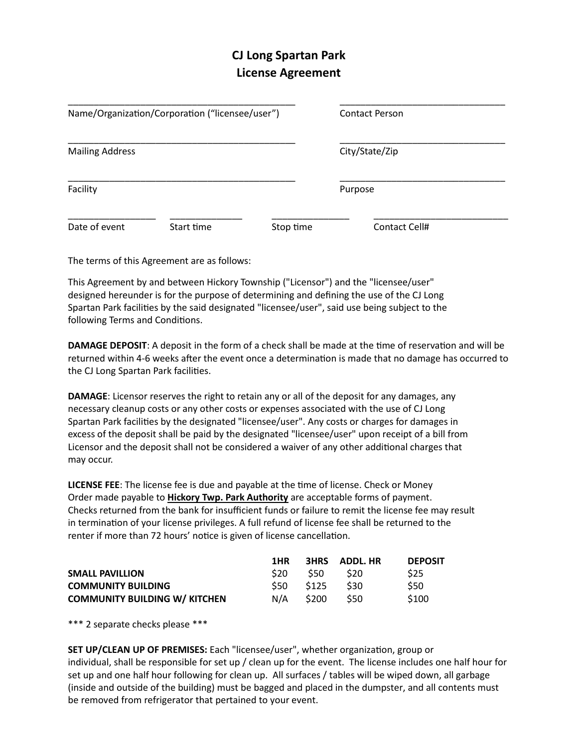## **CJ Long Spartan Park License Agreement**

| Name/Organization/Corporation ("licensee/user") |            |           | <b>Contact Person</b> |  |  |
|-------------------------------------------------|------------|-----------|-----------------------|--|--|
| <b>Mailing Address</b>                          |            |           | City/State/Zip        |  |  |
| Facility                                        |            |           | Purpose               |  |  |
| Date of event                                   | Start time | Stop time | Contact Cell#         |  |  |

The terms of this Agreement are as follows:

This Agreement by and between Hickory Township ("Licensor") and the "licensee/user" designed hereunder is for the purpose of determining and defining the use of the CJ Long Spartan Park facilities by the said designated "licensee/user", said use being subject to the following Terms and Conditions.

**DAMAGE DEPOSIT:** A deposit in the form of a check shall be made at the time of reservation and will be returned within 4-6 weeks after the event once a determination is made that no damage has occurred to the CJ Long Spartan Park facilities.

**DAMAGE**: Licensor reserves the right to retain any or all of the deposit for any damages, any necessary cleanup costs or any other costs or expenses associated with the use of CJ Long Spartan Park facilities by the designated "licensee/user". Any costs or charges for damages in excess of the deposit shall be paid by the designated "licensee/user" upon receipt of a bill from Licensor and the deposit shall not be considered a waiver of any other additional charges that may occur.

**LICENSE FEE:** The license fee is due and payable at the time of license. Check or Money Order made payable to **Hickory Twp. Park Authority** are acceptable forms of payment. Checks returned from the bank for insufficient funds or failure to remit the license fee may result in termination of your license privileges. A full refund of license fee shall be returned to the renter if more than 72 hours' notice is given of license cancellation.

|                                      | 1HR             | <b>3HRS</b> | ADDL. HR | <b>DEPOSIT</b> |
|--------------------------------------|-----------------|-------------|----------|----------------|
| <b>SMALL PAVILLION</b>               | S <sub>20</sub> | -S50        | S20.     | <b>S25</b>     |
| <b>COMMUNITY BUILDING</b>            | S50.            | S125        | S30.     | S50            |
| <b>COMMUNITY BUILDING W/ KITCHEN</b> | N/A             | S200        | S50.     | \$100          |

\*\*\* 2 separate checks please \*\*\*

**SET UP/CLEAN UP OF PREMISES:** Each "licensee/user", whether organization, group or individual, shall be responsible for set up / clean up for the event. The license includes one half hour for set up and one half hour following for clean up. All surfaces / tables will be wiped down, all garbage (inside and outside of the building) must be bagged and placed in the dumpster, and all contents must be removed from refrigerator that pertained to your event.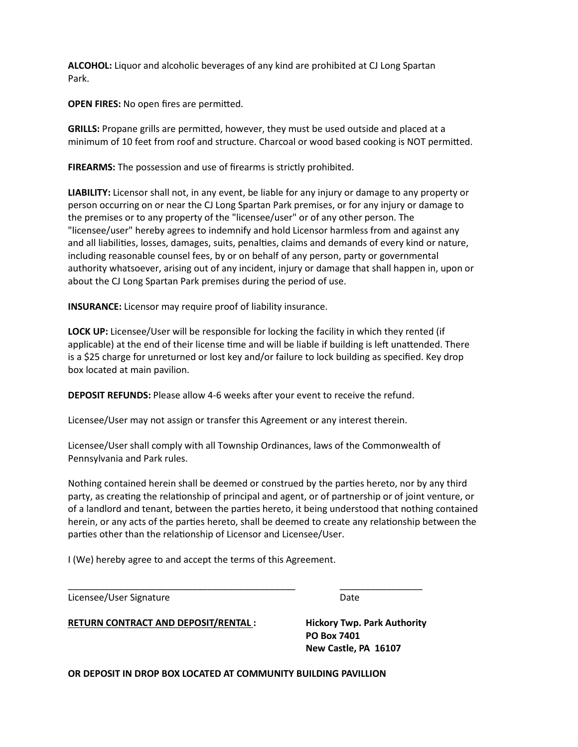**ALCOHOL:** Liquor and alcoholic beverages of any kind are prohibited at CJ Long Spartan Park.

**OPEN FIRES:** No open fires are permitted.

GRILLS: Propane grills are permitted, however, they must be used outside and placed at a minimum of 10 feet from roof and structure. Charcoal or wood based cooking is NOT permitted.

**FIREARMS:** The possession and use of firearms is strictly prohibited.

**LIABILITY:** Licensor shall not, in any event, be liable for any injury or damage to any property or person occurring on or near the CJ Long Spartan Park premises, or for any injury or damage to the premises or to any property of the "licensee/user" or of any other person. The "licensee/user" hereby agrees to indemnify and hold Licensor harmless from and against any and all liabilities, losses, damages, suits, penalties, claims and demands of every kind or nature, including reasonable counsel fees, by or on behalf of any person, party or governmental authority whatsoever, arising out of any incident, injury or damage that shall happen in, upon or about the CJ Long Spartan Park premises during the period of use.

**INSURANCE:** Licensor may require proof of liability insurance.

**LOCK UP:** Licensee/User will be responsible for locking the facility in which they rented (if applicable) at the end of their license time and will be liable if building is left unattended. There is a \$25 charge for unreturned or lost key and/or failure to lock building as specified. Key drop box located at main pavilion.

**DEPOSIT REFUNDS:** Please allow 4-6 weeks after your event to receive the refund.

Licensee/User may not assign or transfer this Agreement or any interest therein.

Licensee/User shall comply with all Township Ordinances, laws of the Commonwealth of Pennsylvania and Park rules.

\_\_\_\_\_\_\_\_\_\_\_\_\_\_\_\_\_\_\_\_\_\_\_\_\_\_\_\_\_\_\_\_\_\_\_\_\_\_\_\_\_\_\_\_ \_\_\_\_\_\_\_\_\_\_\_\_\_\_\_\_

Nothing contained herein shall be deemed or construed by the parties hereto, nor by any third party, as creating the relationship of principal and agent, or of partnership or of joint venture, or of a landlord and tenant, between the parties hereto, it being understood that nothing contained herein, or any acts of the parties hereto, shall be deemed to create any relationship between the parties other than the relationship of Licensor and Licensee/User.

I (We) hereby agree to and accept the terms of this Agreement.

Licensee/User Signature **Date** Date

**RETURN CONTRACT AND DEPOSIT/RENTAL : Hickory Twp. Park Authority** 

 **PO Box 7401 New Castle, PA 16107** 

**OR DEPOSIT IN DROP BOX LOCATED AT COMMUNITY BUILDING PAVILLION**